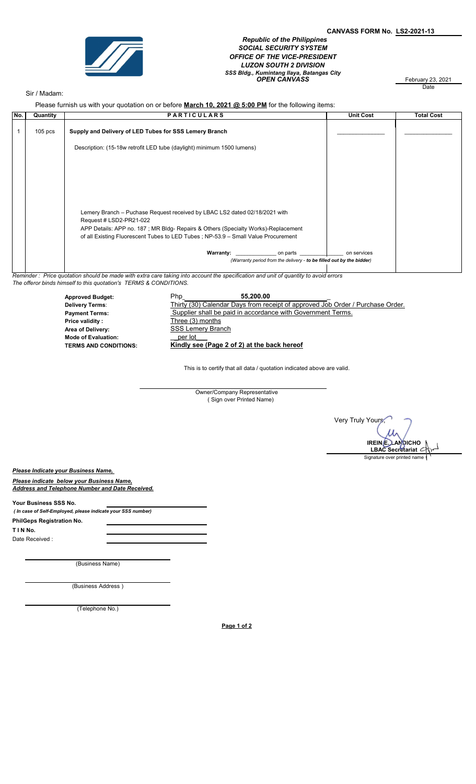

 Republic of the Philippines SOCIAL SECURITY SYSTEM OFFICE OF THE VICE-PRESIDENT LUZON SOUTH 2 DIVISION SSS Bldg., Kumintang Ilaya, Batangas City<br>**OPEN CANVASS** February 23, 2021

February 23, 2021<br>Date

## Sir / Madam:

Please furnish us with your quotation on or before March 10, 2021 @ 5:00 PM for the following items:

| No. | Quantity  | <b>PARTICULARS</b>                                                                                                                  |                                                                      | <b>Unit Cost</b> | <b>Total Cost</b> |
|-----|-----------|-------------------------------------------------------------------------------------------------------------------------------------|----------------------------------------------------------------------|------------------|-------------------|
|     |           |                                                                                                                                     |                                                                      |                  |                   |
|     | $105$ pcs | Supply and Delivery of LED Tubes for SSS Lemery Branch                                                                              |                                                                      |                  |                   |
|     |           | Description: (15-18w retrofit LED tube (daylight) minimum 1500 lumens)                                                              |                                                                      |                  |                   |
|     |           |                                                                                                                                     |                                                                      |                  |                   |
|     |           |                                                                                                                                     |                                                                      |                  |                   |
|     |           |                                                                                                                                     |                                                                      |                  |                   |
|     |           |                                                                                                                                     |                                                                      |                  |                   |
|     |           |                                                                                                                                     |                                                                      |                  |                   |
|     |           | Lemery Branch – Puchase Request received by LBAC LS2 dated 02/18/2021 with                                                          |                                                                      |                  |                   |
|     |           | Request # LSD2-PR21-022                                                                                                             |                                                                      |                  |                   |
|     |           | APP Details: APP no. 187; MR Bldg- Repairs & Others (Specialty Works)-Replacement                                                   |                                                                      |                  |                   |
|     |           | of all Existing Fluorescent Tubes to LED Tubes; NP-53.9 - Small Value Procurement                                                   |                                                                      |                  |                   |
|     |           | <b>Warranty:</b>                                                                                                                    | on parts                                                             | on services      |                   |
|     |           |                                                                                                                                     | (Warranty period from the delivery - to be filled out by the bidder) |                  |                   |
|     |           | Peminder: Price quotation should be made with extra care taking into account the specification and unit of quantity to avoid errors |                                                                      |                  |                   |

unt the specification and unit of quantity to avoid errors The offeror binds himself to this quotation's TERMS & CONDITIONS.

> Approved Budget: The Php\_ Thirty (30) Calendar Days from receipt of approved Job Order / Purchase Order. Payment Terms: Supplier shall be paid in accordance with Government Terms. Price validity : Three (3) months Area of Delivery: Mode of Evaluation: \_per lot\_\_\_ Kindly see (Page 2 of 2) at the back hereof 55,200.00 Delivery Terms: **SSS Lemery Branch**

> > This is to certify that all data / quotation indicated above are valid.

Owner/Company Representative ( Sign over Printed Name)

 Very Truly Yours, IREIN E. LANDICHO  $\sqrt{2}$ LBAC Secretariat Signature over printed name

Please Indicate your Business Name,

Please indicate below your Business Name, Address and Telephone Number and Date Received.

Your Business SSS No.

 ( In case of Self-Employed, please indicate your SSS number) T I N No. Date Received : PhilGeps Registration No.

(Business Name)

(Business Address )

(Telephone No.)

Page 1 of 2